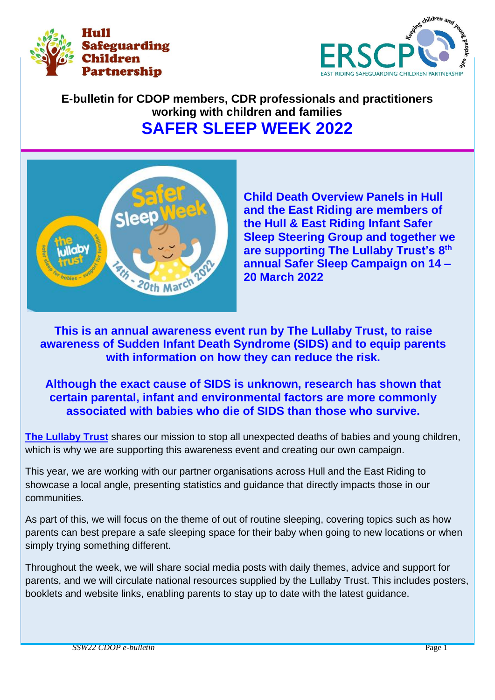



# **E-bulletin for CDOP members, CDR professionals and practitioners working with children and families SAFER SLEEP WEEK 2022**



**Child Death Overview Panels in Hull and the East Riding are members of the Hull & East Riding Infant Safer Sleep Steering Group and together we are supporting The Lullaby Trust's 8 th annual Safer Sleep Campaign on 14 – 20 March 2022**

**This is an annual awareness event run by The Lullaby Trust, to raise awareness of Sudden Infant Death Syndrome (SIDS) and to equip parents with information on how they can reduce the risk.**

**Although the exact cause of SIDS is unknown, research has shown that certain parental, infant and environmental factors are more commonly associated with babies who die of SIDS than those who survive.** 

**[The Lullaby Trust](https://www.lullabytrust.org.uk/)** shares our mission to stop all unexpected deaths of babies and young children, which is why we are supporting this awareness event and creating our own campaign.

This year, we are working with our partner organisations across Hull and the East Riding to showcase a local angle, presenting statistics and guidance that directly impacts those in our communities.

As part of this, we will focus on the theme of out of routine sleeping, covering topics such as how parents can best prepare a safe sleeping space for their baby when going to new locations or when simply trying something different.

Throughout the week, we will share social media posts with daily themes, advice and support for parents, and we will circulate national resources supplied by the Lullaby Trust. This includes posters, booklets and website links, enabling parents to stay up to date with the latest guidance.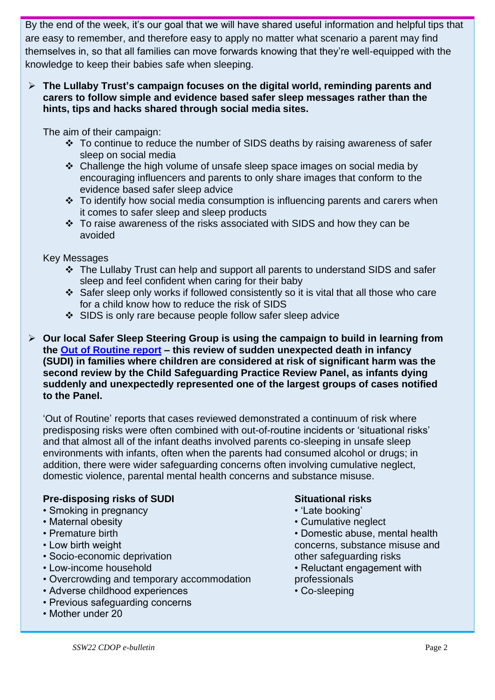By the end of the week, it's our goal that we will have shared useful information and helpful tips that are easy to remember, and therefore easy to apply no matter what scenario a parent may find themselves in, so that all families can move forwards knowing that they're well-equipped with the knowledge to keep their babies safe when sleeping.

# ➢ **The Lullaby Trust's campaign focuses on the digital world, reminding parents and carers to follow simple and evidence based safer sleep messages rather than the hints, tips and hacks shared through social media sites.**

The aim of their campaign:

- ❖ To continue to reduce the number of SIDS deaths by raising awareness of safer sleep on social media
- ❖ Challenge the high volume of unsafe sleep space images on social media by encouraging influencers and parents to only share images that conform to the evidence based safer sleep advice
- ❖ To identify how social media consumption is influencing parents and carers when it comes to safer sleep and sleep products
- ❖ To raise awareness of the risks associated with SIDS and how they can be avoided

Key Messages

- ❖ The Lullaby Trust can help and support all parents to understand SIDS and safer sleep and feel confident when caring for their baby
- ❖ Safer sleep only works if followed consistently so it is vital that all those who care for a child know how to reduce the risk of SIDS
- ❖ SIDS is only rare because people follow safer sleep advice
- ➢ **Our local Safer Sleep Steering Group is using the campaign to build in learning from the [Out of Routine report](https://assets.publishing.service.gov.uk/government/uploads/system/uploads/attachment_data/file/901091/DfE_Death_in_infancy_review.pdf) – this review of sudden unexpected death in infancy (SUDI) in families where children are considered at risk of significant harm was the second review by the Child Safeguarding Practice Review Panel, as infants dying suddenly and unexpectedly represented one of the largest groups of cases notified to the Panel.**

'Out of Routine' reports that cases reviewed demonstrated a continuum of risk where predisposing risks were often combined with out-of-routine incidents or 'situational risks' and that almost all of the infant deaths involved parents co-sleeping in unsafe sleep environments with infants, often when the parents had consumed alcohol or drugs; in addition, there were wider safeguarding concerns often involving cumulative neglect, domestic violence, parental mental health concerns and substance misuse.

# **Pre-disposing risks of SUDI Situational risks**

- Smoking in pregnancy  **Smoking'** 'Late booking'
- 
- 
- 
- Socio-economic deprivation **other safeguarding risks**
- 
- Overcrowding and temporary accommodation professionals
- Adverse childhood experiences Co-sleeping
- Previous safeguarding concerns
- Mother under 20

- 
- Maternal obesity  **Cumulative neglect**
- Premature birth Domestic abuse, mental health • Low birth weight concerns, substance misuse and
- Low-income household **•** Low-income household
	-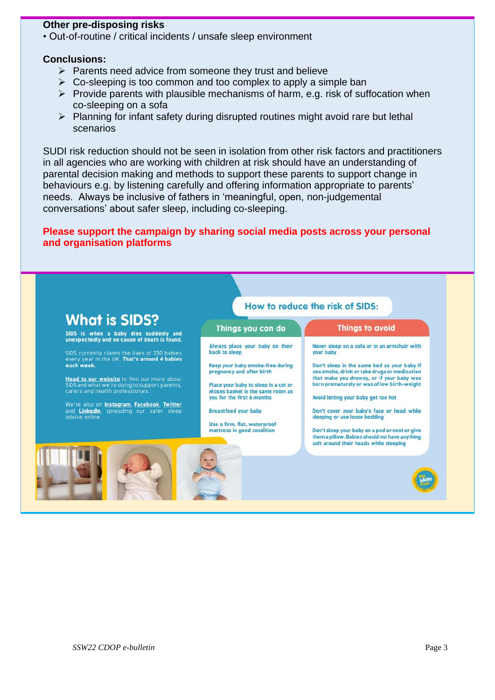### **Other pre-disposing risks**

• Out-of-routine / critical incidents / unsafe sleep environment

#### **Conclusions:**

- $\triangleright$  Parents need advice from someone they trust and believe
- $\triangleright$  Co-sleeping is too common and too complex to apply a simple ban
- $\triangleright$  Provide parents with plausible mechanisms of harm, e.g. risk of suffocation when co-sleeping on a sofa
- ➢ Planning for infant safety during disrupted routines might avoid rare but lethal scenarios

SUDI risk reduction should not be seen in isolation from other risk factors and practitioners in all agencies who are working with children at risk should have an understanding of parental decision making and methods to support these parents to support change in behaviours e.g. by listening carefully and offering information appropriate to parents' needs. Always be inclusive of fathers in 'meaningful, open, non-judgemental conversations' about safer sleep, including co-sleeping.

### **Please support the campaign by sharing social media posts across your personal and organisation platforms**

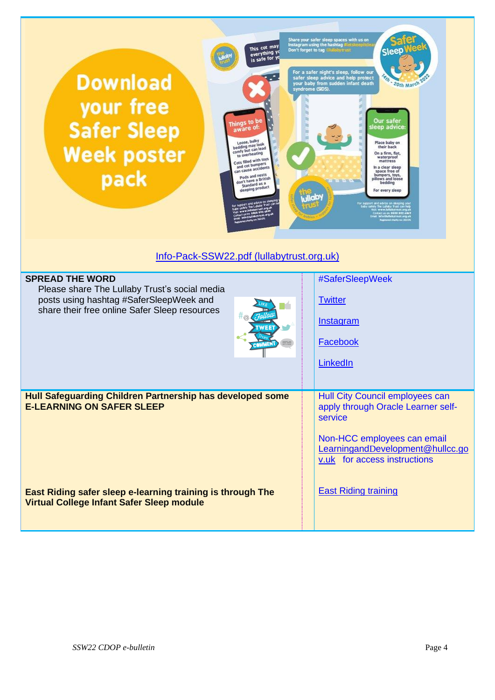| Share your safer sleep spaces with us on<br>Instagram using the hashtag dictskeepitch<br>This cot may<br>Don't forget to tag alullaby trust<br>everything yo<br>is safe for yo<br>For a safer night's sleep, follow our<br><b>Download</b><br>safer sleep advice and help protect<br>your baby from sudden infant death<br>20th March<br>syndrome (SIDS).<br>your free<br><b>Our safer</b><br>ings to be<br><b>Safer Sleep</b><br>leep advice<br>aware of:<br>Loose, bulky<br>Place baby on<br>bedding may look<br>their back<br><b>Week poster</b><br>comfy but can lead<br>On a firm, flat,<br>to overheating<br>waterproof<br>Cots filled with toys<br>mattress<br>and cot bumpers<br>In a clear sleep<br>can cause accidents<br>space free of<br>pack<br>Pods and nests<br>bumpers, toys,<br>don't have a British<br>pillows and loose<br>bedding<br>Standard as a<br>sleeping product<br>For every sleep<br>Info-Pack-SSW22.pdf (lullabytrust.org.uk) |                                                                                                                                                                                                                    |  |  |
|------------------------------------------------------------------------------------------------------------------------------------------------------------------------------------------------------------------------------------------------------------------------------------------------------------------------------------------------------------------------------------------------------------------------------------------------------------------------------------------------------------------------------------------------------------------------------------------------------------------------------------------------------------------------------------------------------------------------------------------------------------------------------------------------------------------------------------------------------------------------------------------------------------------------------------------------------------|--------------------------------------------------------------------------------------------------------------------------------------------------------------------------------------------------------------------|--|--|
| <b>SPREAD THE WORD</b><br>Please share The Lullaby Trust's social media<br>posts using hashtag #SaferSleepWeek and<br>share their free online Safer Sleep resources<br>WEET<br>> ≡≡<br><b>COMMENT</b>                                                                                                                                                                                                                                                                                                                                                                                                                                                                                                                                                                                                                                                                                                                                                      | #SaferSleepWeek<br><b>Twitter</b><br>Instagram<br>Facebook<br>LinkedIn                                                                                                                                             |  |  |
| Hull Safeguarding Children Partnership has developed some<br><b>E-LEARNING ON SAFER SLEEP</b><br>East Riding safer sleep e-learning training is through The<br>Virtual College Infant Safer Sleep module                                                                                                                                                                                                                                                                                                                                                                                                                                                                                                                                                                                                                                                                                                                                                   | Hull City Council employees can<br>apply through Oracle Learner self-<br>service<br>Non-HCC employees can email<br>LearningandDevelopment@hullcc.go<br>v.uk for access instructions<br><b>East Riding training</b> |  |  |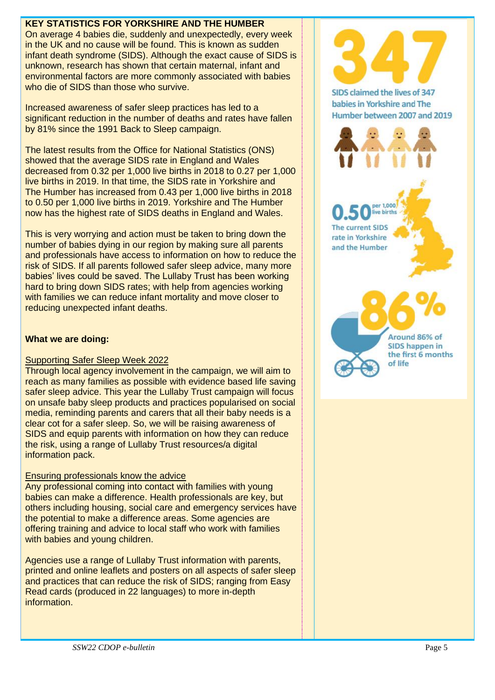# **KEY STATISTICS FOR YORKSHIRE AND THE HUMBER**

On average 4 babies die, suddenly and unexpectedly, every week in the UK and no cause will be found. This is known as sudden infant death syndrome (SIDS). Although the exact cause of SIDS is unknown, research has shown that certain maternal, infant and environmental factors are more commonly associated with babies who die of SIDS than those who survive.

Increased awareness of safer sleep practices has led to a significant reduction in the number of deaths and rates have fallen by 81% since the 1991 Back to Sleep campaign.

The latest results from the Office for National Statistics (ONS) showed that the average SIDS rate in England and Wales decreased from 0.32 per 1,000 live births in 2018 to 0.27 per 1,000 live births in 2019. In that time, the SIDS rate in Yorkshire and The Humber has increased from 0.43 per 1,000 live births in 2018 to 0.50 per 1,000 live births in 2019. Yorkshire and The Humber now has the highest rate of SIDS deaths in England and Wales.

This is very worrying and action must be taken to bring down the number of babies dying in our region by making sure all parents and professionals have access to information on how to reduce the risk of SIDS. If all parents followed safer sleep advice, many more babies' lives could be saved. The Lullaby Trust has been working hard to bring down SIDS rates; with help from agencies working with families we can reduce infant mortality and move closer to reducing unexpected infant deaths.

# **What we are doing:**

# Supporting Safer Sleep Week 2022

Through local agency involvement in the campaign, we will aim to reach as many families as possible with evidence based life saving safer sleep advice. This year the Lullaby Trust campaign will focus on unsafe baby sleep products and practices popularised on social media, reminding parents and carers that all their baby needs is a clear cot for a safer sleep. So, we will be raising awareness of SIDS and equip parents with information on how they can reduce the risk, using a range of Lullaby Trust resources/a digital information pack.

# Ensuring professionals know the advice

Any professional coming into contact with families with young babies can make a difference. Health professionals are key, but others including housing, social care and emergency services have the potential to make a difference areas. Some agencies are offering training and advice to local staff who work with families with babies and young children.

Agencies use a range of Lullaby Trust information with parents, printed and online leaflets and posters on all aspects of safer sleep and practices that can reduce the risk of SIDS; ranging from Easy Read cards (produced in 22 languages) to more in-depth information.

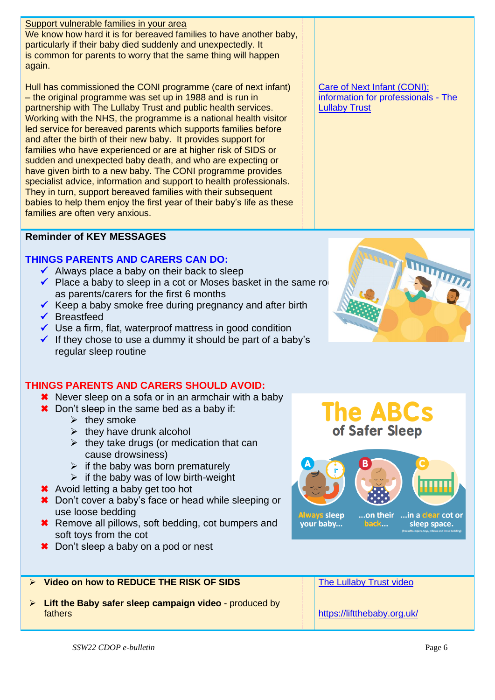# Support vulnerable families in your area

We know how hard it is for bereaved families to have another baby, particularly if their baby died suddenly and unexpectedly. It is common for parents to worry that the same thing will happen again.

Hull has commissioned the CONI programme (care of next infant) – the original programme was set up in 1988 and is run in partnership with The Lullaby Trust and public health services. Working with the NHS, the programme is a national health visitor led service for bereaved parents which supports families before and after the birth of their new baby. It provides support for families who have experienced or are at higher risk of SIDS or sudden and unexpected baby death, and who are expecting or have given birth to a new baby. The CONI programme provides specialist advice, information and support to health professionals. They in turn, support bereaved families with their subsequent babies to help them enjoy the first year of their baby's life as these families are often very anxious.

# **Reminder of KEY MESSAGES**

# **THINGS PARENTS AND CARERS CAN DO:**

- $\checkmark$  Always place a baby on their back to sleep
- $\checkmark$  Place a baby to sleep in a cot or Moses basket in the same rom as parents/carers for the first 6 months
- $\checkmark$  Keep a baby smoke free during pregnancy and after birth
- ✓ Breastfeed
- $\checkmark$  Use a firm, flat, waterproof mattress in good condition
- $\checkmark$  If they chose to use a dummy it should be part of a baby's regular sleep routine

# **THINGS PARENTS AND CARERS SHOULD AVOID:**

- **\*** Never sleep on a sofa or in an armchair with a baby
- **\*** Don't sleep in the same bed as a baby if:
	- $\triangleright$  they smoke
	- $\triangleright$  they have drunk alcohol
	- $\triangleright$  they take drugs (or medication that can cause drowsiness)
	- $\triangleright$  if the baby was born prematurely
	- $\triangleright$  if the baby was of low birth-weight
- \* Avoid letting a baby get too hot
- **\*** Don't cover a baby's face or head while sleeping or use loose bedding
- **\*** Remove all pillows, soft bedding, cot bumpers and soft toys from the cot
- **★** Don't sleep a baby on a pod or nest

# ➢ **Video on how to REDUCE THE RISK OF SIDS**

➢ **Lift the Baby safer sleep campaign video** - produced by fathers

[Care of Next Infant \(CONI\):](https://www.lullabytrust.org.uk/professionals/care-of-next-infant/information-for-professionals/)  [information for professionals -](https://www.lullabytrust.org.uk/professionals/care-of-next-infant/information-for-professionals/) The [Lullaby Trust](https://www.lullabytrust.org.uk/professionals/care-of-next-infant/information-for-professionals/)



**The ABCs** of Safer Sleep



sleep space.

# [The Lullaby Trust video](https://www.lullabytrust.org.uk/safer-sleep)

<https://liftthebaby.org.uk/>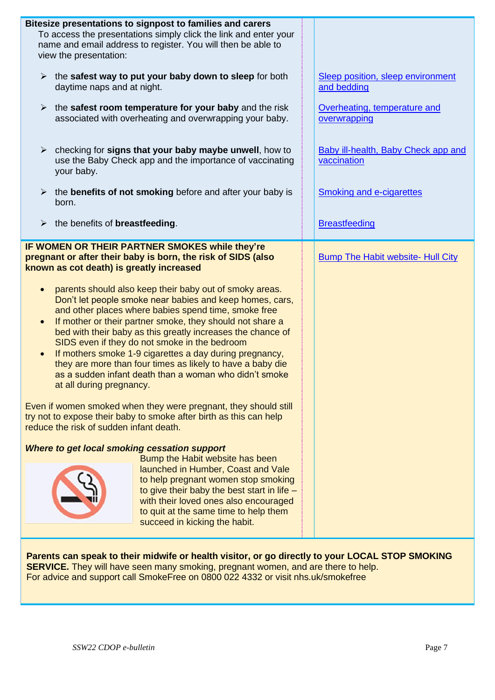| Bitesize presentations to signpost to families and carers<br>To access the presentations simply click the link and enter your<br>name and email address to register. You will then be able to<br>view the presentation:                                                                                                                                                                                                                                                                                                                                                                                                                                                                                                                                                                                                                                                                                                                                                                                                                                                                                                                                                                                                                                                                              |                                                    |  |  |  |
|------------------------------------------------------------------------------------------------------------------------------------------------------------------------------------------------------------------------------------------------------------------------------------------------------------------------------------------------------------------------------------------------------------------------------------------------------------------------------------------------------------------------------------------------------------------------------------------------------------------------------------------------------------------------------------------------------------------------------------------------------------------------------------------------------------------------------------------------------------------------------------------------------------------------------------------------------------------------------------------------------------------------------------------------------------------------------------------------------------------------------------------------------------------------------------------------------------------------------------------------------------------------------------------------------|----------------------------------------------------|--|--|--|
| the safest way to put your baby down to sleep for both<br>$\blacktriangleright$<br>daytime naps and at night.                                                                                                                                                                                                                                                                                                                                                                                                                                                                                                                                                                                                                                                                                                                                                                                                                                                                                                                                                                                                                                                                                                                                                                                        | Sleep position, sleep environment<br>and bedding   |  |  |  |
| the safest room temperature for your baby and the risk<br>➤<br>associated with overheating and overwrapping your baby.                                                                                                                                                                                                                                                                                                                                                                                                                                                                                                                                                                                                                                                                                                                                                                                                                                                                                                                                                                                                                                                                                                                                                                               | Overheating, temperature and<br>overwrapping       |  |  |  |
| checking for signs that your baby maybe unwell, how to<br>$\blacktriangleright$<br>use the Baby Check app and the importance of vaccinating<br>your baby.                                                                                                                                                                                                                                                                                                                                                                                                                                                                                                                                                                                                                                                                                                                                                                                                                                                                                                                                                                                                                                                                                                                                            | Baby ill-health, Baby Check app and<br>vaccination |  |  |  |
| $\triangleright$ the benefits of not smoking before and after your baby is<br>born.                                                                                                                                                                                                                                                                                                                                                                                                                                                                                                                                                                                                                                                                                                                                                                                                                                                                                                                                                                                                                                                                                                                                                                                                                  | <b>Smoking and e-cigarettes</b>                    |  |  |  |
| the benefits of <b>breastfeeding</b> .<br>$\blacktriangleright$                                                                                                                                                                                                                                                                                                                                                                                                                                                                                                                                                                                                                                                                                                                                                                                                                                                                                                                                                                                                                                                                                                                                                                                                                                      | <b>Breastfeeding</b>                               |  |  |  |
| IF WOMEN OR THEIR PARTNER SMOKES while they're<br>pregnant or after their baby is born, the risk of SIDS (also<br>known as cot death) is greatly increased<br>parents should also keep their baby out of smoky areas.<br>$\bullet$<br>Don't let people smoke near babies and keep homes, cars,<br>and other places where babies spend time, smoke free<br>If mother or their partner smoke, they should not share a<br>$\bullet$<br>bed with their baby as this greatly increases the chance of<br>SIDS even if they do not smoke in the bedroom<br>If mothers smoke 1-9 cigarettes a day during pregnancy,<br>$\bullet$<br>they are more than four times as likely to have a baby die<br>as a sudden infant death than a woman who didn't smoke<br>at all during pregnancy.<br>Even if women smoked when they were pregnant, they should still<br>try not to expose their baby to smoke after birth as this can help<br>reduce the risk of sudden infant death.<br>Where to get local smoking cessation support<br>Bump the Habit website has been<br>launched in Humber, Coast and Vale<br>to help pregnant women stop smoking<br>to give their baby the best start in life $-$<br>with their loved ones also encouraged<br>to quit at the same time to help them<br>succeed in kicking the habit. | <b>Bump The Habit website- Hull City</b>           |  |  |  |
| Parents can speak to their midwife or health visitor, or go directly to your LOCAL STOP SMOKING                                                                                                                                                                                                                                                                                                                                                                                                                                                                                                                                                                                                                                                                                                                                                                                                                                                                                                                                                                                                                                                                                                                                                                                                      |                                                    |  |  |  |

**SERVICE.** They will have seen many smoking, pregnant women, and are there to help. For advice and support call SmokeFree on 0800 022 4332 or visit nhs.uk/smokefree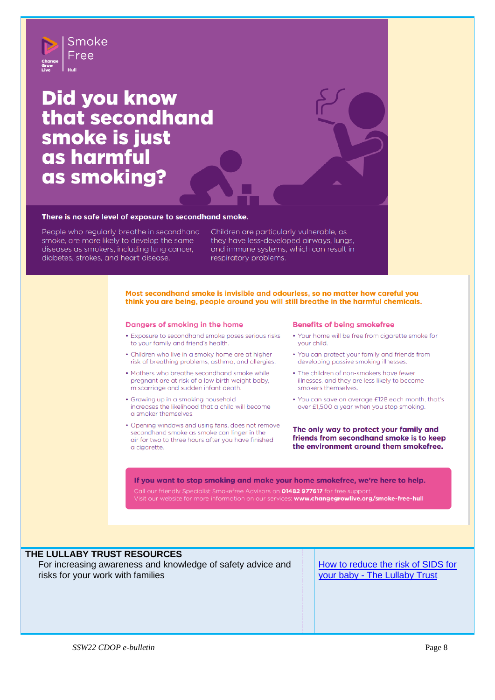

# **Did you know** that secondhand smoke is just as harmful as smoking?

#### There is no safe level of exposure to secondhand smoke.

People who regularly breathe in secondhand smoke, are more likely to develop the same diseases as smokers, including lung cancer, diabetes, strokes, and heart disease.

Children are particularly vulnerable, as they have less-developed airways, lungs, and immune systems, which can result in respiratory problems.

#### Most secondhand smoke is invisible and odourless, so no matter how careful you think you are being, people around you will still breathe in the harmful chemicals.

#### Dangers of smoking in the home

- Exposure to secondhand smoke poses serious risks to your family and friend's health.
- Children who live in a smoky home are at higher risk of breathing problems, asthma, and allergies.
- Mothers who breathe secondhand smoke while pregnant are at risk of a low birth weight baby, miscarriage and sudden infant death.
- Growing up in a smoking household increases the likelihood that a child will become a smoker themselves.
- Opening windows and using fans, does not remove secondhand smoke as smoke can linger in the air for two to three hours after you have finished a cigarette.

#### **Benefits of being smokefree**

• Your home will be free from cigarette smoke for vour child.

 $\mathbf{r}$ 

- You can protect your family and friends from developing passive smoking illnesses.
- The children of non-smokers have fewer illnesses, and they are less likely to become smokers themselves.
- You can save on average £128 each month, that's over £1,500 a year when you stop smoking.

The only way to protect your family and friends from secondhand smoke is to keep the environment around them smokefree.

If you want to stop smoking and make your home smokefree, we're here to help. Call our friendly Specialist Smokefree Advisors on **01482 977617** for free support.<br>Visit our website for more information on our services: **www.changegrowlive.org/smoke-free-hull** 

#### **THE LULLABY TRUST RESOURCES**

For increasing awareness and knowledge of safety advice and risks for your work with families

[How to reduce the risk of SIDS for](https://www.lullabytrust.org.uk/safer-sleep-advice/)  your baby - [The Lullaby Trust](https://www.lullabytrust.org.uk/safer-sleep-advice/)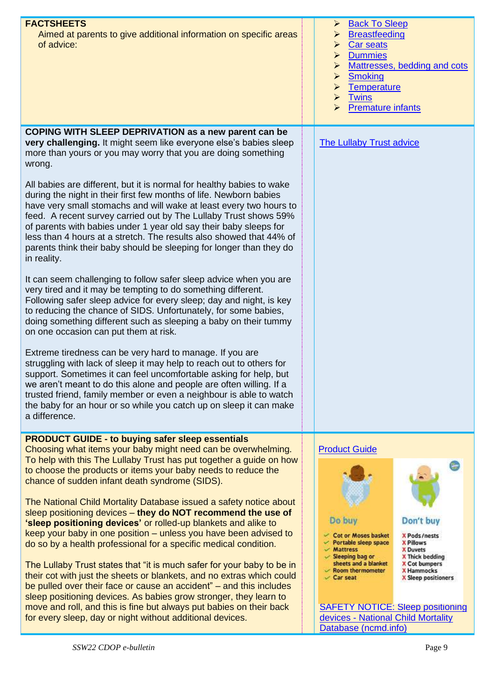| <b>FACTSHEETS</b><br>Aimed at parents to give additional information on specific areas<br>of advice:                                                                                                                                                                                                                                                                                                                                                                                                                    | <b>Back To Sleep</b><br>➤<br><b>Breastfeeding</b><br>➤<br>Car seats<br>➤<br><b>Dummies</b><br>➤<br>Mattresses, bedding and cots<br>$\blacktriangleright$<br><b>Smoking</b><br>$\blacktriangleright$<br>Temperature<br>$\blacktriangleright$<br><b>Twins</b><br>$\blacktriangleright$<br><b>Premature infants</b><br>$\blacktriangleright$ |
|-------------------------------------------------------------------------------------------------------------------------------------------------------------------------------------------------------------------------------------------------------------------------------------------------------------------------------------------------------------------------------------------------------------------------------------------------------------------------------------------------------------------------|-------------------------------------------------------------------------------------------------------------------------------------------------------------------------------------------------------------------------------------------------------------------------------------------------------------------------------------------|
| <b>COPING WITH SLEEP DEPRIVATION as a new parent can be</b><br>very challenging. It might seem like everyone else's babies sleep<br>more than yours or you may worry that you are doing something<br>wrong.                                                                                                                                                                                                                                                                                                             | <b>The Lullaby Trust advice</b>                                                                                                                                                                                                                                                                                                           |
| All babies are different, but it is normal for healthy babies to wake<br>during the night in their first few months of life. Newborn babies<br>have very small stomachs and will wake at least every two hours to<br>feed. A recent survey carried out by The Lullaby Trust shows 59%<br>of parents with babies under 1 year old say their baby sleeps for<br>less than 4 hours at a stretch. The results also showed that 44% of<br>parents think their baby should be sleeping for longer than they do<br>in reality. |                                                                                                                                                                                                                                                                                                                                           |
| It can seem challenging to follow safer sleep advice when you are<br>very tired and it may be tempting to do something different.<br>Following safer sleep advice for every sleep; day and night, is key<br>to reducing the chance of SIDS. Unfortunately, for some babies,<br>doing something different such as sleeping a baby on their tummy<br>on one occasion can put them at risk.                                                                                                                                |                                                                                                                                                                                                                                                                                                                                           |
| Extreme tiredness can be very hard to manage. If you are<br>struggling with lack of sleep it may help to reach out to others for<br>support. Sometimes it can feel uncomfortable asking for help, but<br>we aren't meant to do this alone and people are often willing. If a<br>trusted friend, family member or even a neighbour is able to watch<br>the baby for an hour or so while you catch up on sleep it can make<br>a difference.                                                                               |                                                                                                                                                                                                                                                                                                                                           |
| <b>PRODUCT GUIDE - to buying safer sleep essentials</b><br>Choosing what items your baby might need can be overwhelming.<br>To help with this The Lullaby Trust has put together a guide on how<br>to choose the products or items your baby needs to reduce the<br>chance of sudden infant death syndrome (SIDS).                                                                                                                                                                                                      | <b>Product Guide</b>                                                                                                                                                                                                                                                                                                                      |
| The National Child Mortality Database issued a safety notice about<br>sleep positioning devices - they do NOT recommend the use of<br>'sleep positioning devices' or rolled-up blankets and alike to<br>keep your baby in one position – unless you have been advised to<br>do so by a health professional for a specific medical condition.                                                                                                                                                                            | Do buy<br>Don't buy<br>Cot or Moses basket<br>X Pods/nests<br>$\vee$ Portable sleep space<br><b>X Pillows</b><br>$~\checkmark$ Mattress<br><b>X</b> Duvets                                                                                                                                                                                |
| The Lullaby Trust states that "it is much safer for your baby to be in<br>their cot with just the sheets or blankets, and no extras which could<br>be pulled over their face or cause an accident" – and this includes<br>sleep positioning devices. As babies grow stronger, they learn to<br>move and roll, and this is fine but always put babies on their back<br>for every sleep, day or night without additional devices.                                                                                         | $\mathcal{S}$ Sleeping bag or<br>X Thick bedding<br>sheets and a blanket<br><b>X Cot bumpers</b><br><b>X Hammocks</b><br>$\backsim$ Room thermometer<br>$\vee$ Car seat<br>X Sleep positioners<br><b>SAFETY NOTICE: Sleep positioning</b><br>devices - National Child Mortality                                                           |
|                                                                                                                                                                                                                                                                                                                                                                                                                                                                                                                         | Database (ncmd.info)                                                                                                                                                                                                                                                                                                                      |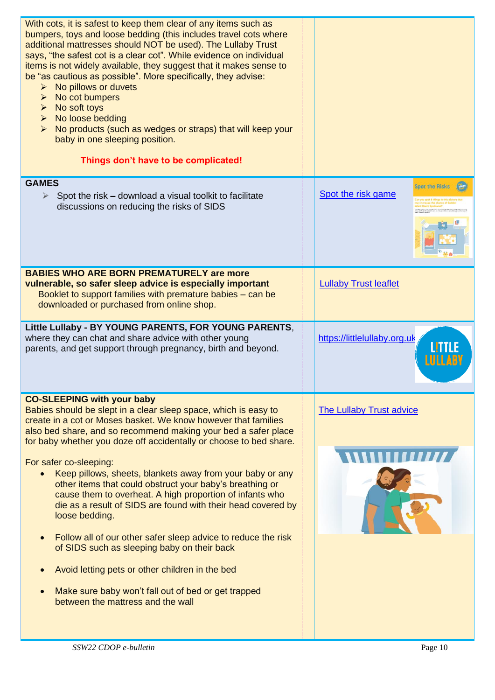| With cots, it is safest to keep them clear of any items such as<br>bumpers, toys and loose bedding (this includes travel cots where<br>additional mattresses should NOT be used). The Lullaby Trust<br>says, "the safest cot is a clear cot". While evidence on individual<br>items is not widely available, they suggest that it makes sense to<br>be "as cautious as possible". More specifically, they advise:<br>No pillows or duvets<br>$\blacktriangleright$<br>No cot bumpers<br>≻<br>No soft toys<br>≻<br>No loose bedding<br>$\blacktriangleright$<br>$\triangleright$ No products (such as wedges or straps) that will keep your<br>baby in one sleeping position.<br>Things don't have to be complicated!                                                                                                                                                                                     |                                             |
|----------------------------------------------------------------------------------------------------------------------------------------------------------------------------------------------------------------------------------------------------------------------------------------------------------------------------------------------------------------------------------------------------------------------------------------------------------------------------------------------------------------------------------------------------------------------------------------------------------------------------------------------------------------------------------------------------------------------------------------------------------------------------------------------------------------------------------------------------------------------------------------------------------|---------------------------------------------|
| <b>GAMES</b><br>Spot the risk - download a visual toolkit to facilitate<br>$\blacktriangleright$<br>discussions on reducing the risks of SIDS                                                                                                                                                                                                                                                                                                                                                                                                                                                                                                                                                                                                                                                                                                                                                            | <b>Spot the Risks</b><br>Spot the risk game |
| <b>BABIES WHO ARE BORN PREMATURELY are more</b><br>vulnerable, so safer sleep advice is especially important<br>Booklet to support families with premature babies – can be<br>downloaded or purchased from online shop.                                                                                                                                                                                                                                                                                                                                                                                                                                                                                                                                                                                                                                                                                  | <b>Lullaby Trust leaflet</b>                |
| Little Lullaby - BY YOUNG PARENTS, FOR YOUNG PARENTS,<br>where they can chat and share advice with other young<br>parents, and get support through pregnancy, birth and beyond.                                                                                                                                                                                                                                                                                                                                                                                                                                                                                                                                                                                                                                                                                                                          | https://littlelullaby.org.uk                |
| <b>CO-SLEEPING with your baby</b><br>Babies should be slept in a clear sleep space, which is easy to<br>create in a cot or Moses basket. We know however that families<br>also bed share, and so recommend making your bed a safer place<br>for baby whether you doze off accidentally or choose to bed share.<br>For safer co-sleeping:<br>Keep pillows, sheets, blankets away from your baby or any<br>other items that could obstruct your baby's breathing or<br>cause them to overheat. A high proportion of infants who<br>die as a result of SIDS are found with their head covered by<br>loose bedding.<br>Follow all of our other safer sleep advice to reduce the risk<br>$\bullet$<br>of SIDS such as sleeping baby on their back<br>Avoid letting pets or other children in the bed<br>Make sure baby won't fall out of bed or get trapped<br>$\bullet$<br>between the mattress and the wall | <b>The Lullaby Trust advice</b>             |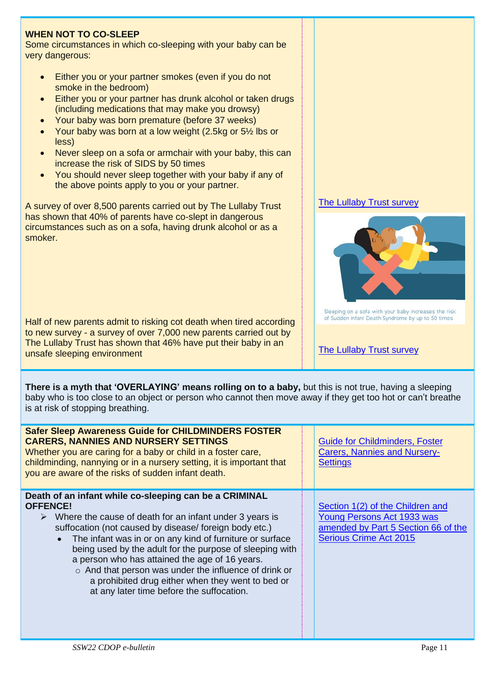# **WHEN NOT TO CO-SLEEP**

Some circumstances in which co-sleeping with your baby can be very dangerous:

- Either you or your partner smokes (even if you do not smoke in the bedroom)
- Either you or your partner has drunk alcohol or taken drugs (including medications that may make you drowsy)
- Your baby was born premature (before 37 weeks)
- Your baby was born at a low weight (2.5kg or 5½ lbs or less)
- Never sleep on a sofa or armchair with your baby, this can increase the risk of SIDS by 50 times
- You should never sleep together with your baby if any of the above points apply to you or your partner.

A survey of over 8,500 parents carried out by The Lullaby Trust has shown that 40% of parents have co-slept in dangerous circumstances such as on a sofa, having drunk alcohol or as a smoker.

Half of new parents admit to risking cot death when tired according to new survey - a survey of over 7,000 new parents carried out by The Lullaby Trust has shown that 46% have put their baby in an unsafe sleeping environment

**There is a myth that 'OVERLAYING' means rolling on to a baby,** but this is not true, having a sleeping baby who is too close to an object or person who cannot then move away if they get too hot or can't breathe is at risk of stopping breathing.

| <b>Safer Sleep Awareness Guide for CHILDMINDERS FOSTER</b><br><b>CARERS, NANNIES AND NURSERY SETTINGS</b><br>Whether you are caring for a baby or child in a foster care,<br>childminding, nannying or in a nursery setting, it is important that<br>you are aware of the risks of sudden infant death.                                                                                                                                                                                                                                             | <b>Guide for Childminders, Foster</b><br><b>Carers, Nannies and Nursery-</b><br><b>Settings</b>                                        |
|-----------------------------------------------------------------------------------------------------------------------------------------------------------------------------------------------------------------------------------------------------------------------------------------------------------------------------------------------------------------------------------------------------------------------------------------------------------------------------------------------------------------------------------------------------|----------------------------------------------------------------------------------------------------------------------------------------|
| Death of an infant while co-sleeping can be a CRIMINAL<br><b>OFFENCE!</b><br>$\triangleright$ Where the cause of death for an infant under 3 years is<br>suffocation (not caused by disease/foreign body etc.)<br>The infant was in or on any kind of furniture or surface<br>being used by the adult for the purpose of sleeping with<br>a person who has attained the age of 16 years.<br>o And that person was under the influence of drink or<br>a prohibited drug either when they went to bed or<br>at any later time before the suffocation. | Section 1(2) of the Children and<br>Young Persons Act 1933 was<br>amended by Part 5 Section 66 of the<br><b>Serious Crime Act 2015</b> |





Sleeping on a sofa with your baby increases the risk of Sudden Infant Death Syndrome by up to 50 times

[The Lullaby Trust survey](https://www.lullabytrust.org.uk/half-of-new-parents-admit-to-risking-cot-death-when-tired-according-to-new-survey/)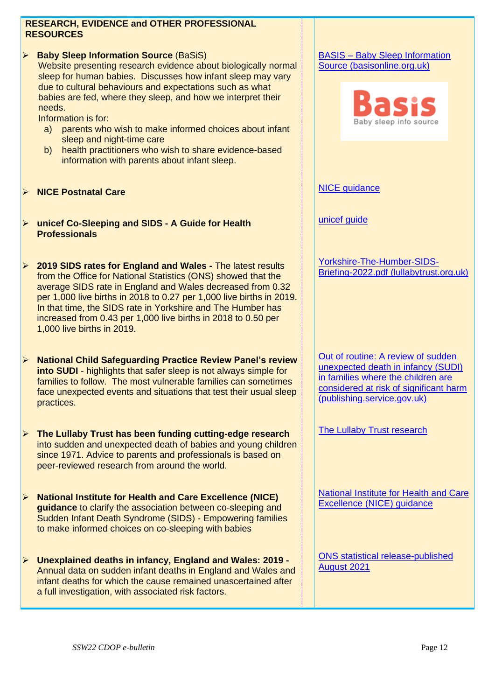### **RESEARCH, EVIDENCE and OTHER PROFESSIONAL RESOURCES**

➢ **Baby Sleep Information Source** (BaSiS) Website presenting research evidence about biologically normal sleep for human babies. Discusses how infant sleep may vary due to cultural behaviours and expectations such as what babies are fed, where they sleep, and how we interpret their needs.

Information is for:

- a) parents who wish to make informed choices about infant sleep and night-time care
- b) health practitioners who wish to share evidence-based information with parents about infant sleep.
- ➢ **NICE Postnatal Care**
- ➢ **unicef Co-Sleeping and SIDS - A Guide for Health Professionals**
- ➢ **2019 SIDS rates for England and Wales -** The latest results from the Office for National Statistics (ONS) showed that the average SIDS rate in England and Wales decreased from 0.32 per 1,000 live births in 2018 to 0.27 per 1,000 live births in 2019. In that time, the SIDS rate in Yorkshire and The Humber has increased from 0.43 per 1,000 live births in 2018 to 0.50 per 1,000 live births in 2019.
- ➢ **National Child Safeguarding Practice Review Panel's review into SUDI** - highlights that safer sleep is not always simple for families to follow. The most vulnerable families can sometimes face unexpected events and situations that test their usual sleep practices.
- ➢ **The Lullaby Trust has been funding cutting-edge research** into sudden and unexpected death of babies and young children since 1971. Advice to parents and professionals is based on peer-reviewed research from around the world.
- ➢ **National Institute for Health and Care Excellence (NICE) guidance** to clarify the association between co-sleeping and Sudden Infant Death Syndrome (SIDS) - Empowering families to make informed choices on co-sleeping with babies
- ➢ **Unexplained deaths in infancy, England and Wales: 2019 -** Annual data on sudden infant deaths in England and Wales and infant deaths for which the cause remained unascertained after a full investigation, with associated risk factors.

### BASIS – [Baby Sleep Information](https://www.basisonline.org.uk/)  [Source \(basisonline.org.uk\)](https://www.basisonline.org.uk/)



NICE quidance

[unicef guide](https://www.unicef.org.uk/babyfriendly/baby-friendly-resources/sleep-and-night-time-resources/co-sleeping-and-sids/)

[Yorkshire-The-Humber-SIDS-](https://www.lullabytrust.org.uk/wp-content/uploads/SIDS-Briefing-2022-Yorkshire-and-The-Humber.pdf)[Briefing-2022.pdf \(lullabytrust.org.uk\)](https://www.lullabytrust.org.uk/wp-content/uploads/SIDS-Briefing-2022-Yorkshire-and-The-Humber.pdf)

[Out of routine: A review of sudden](https://assets.publishing.service.gov.uk/government/uploads/system/uploads/attachment_data/file/901091/DfE_Death_in_infancy_review.pdf)  [unexpected death in](https://assets.publishing.service.gov.uk/government/uploads/system/uploads/attachment_data/file/901091/DfE_Death_in_infancy_review.pdf) infancy (SUDI) [in families where the children are](https://assets.publishing.service.gov.uk/government/uploads/system/uploads/attachment_data/file/901091/DfE_Death_in_infancy_review.pdf)  [considered at risk of significant harm](https://assets.publishing.service.gov.uk/government/uploads/system/uploads/attachment_data/file/901091/DfE_Death_in_infancy_review.pdf)  [\(publishing.service.gov.uk\)](https://assets.publishing.service.gov.uk/government/uploads/system/uploads/attachment_data/file/901091/DfE_Death_in_infancy_review.pdf)

**[The Lullaby Trust research](http://www.lullabytrust.org.uk/our-research)** 

[National Institute for Health and Care](https://www.nice.org.uk/news/press-and-media/empowering-families-informed-choices-co-sleeping-babies)  [Excellence \(NICE\) guidance](https://www.nice.org.uk/news/press-and-media/empowering-families-informed-choices-co-sleeping-babies)

[ONS statistical release-published](https://www.ons.gov.uk/peoplepopulationandcommunity/birthsdeathsandmarriages/deaths/bulletins/unexplaineddeathsininfancyenglandandwales/2019)  [August 2021](https://www.ons.gov.uk/peoplepopulationandcommunity/birthsdeathsandmarriages/deaths/bulletins/unexplaineddeathsininfancyenglandandwales/2019)